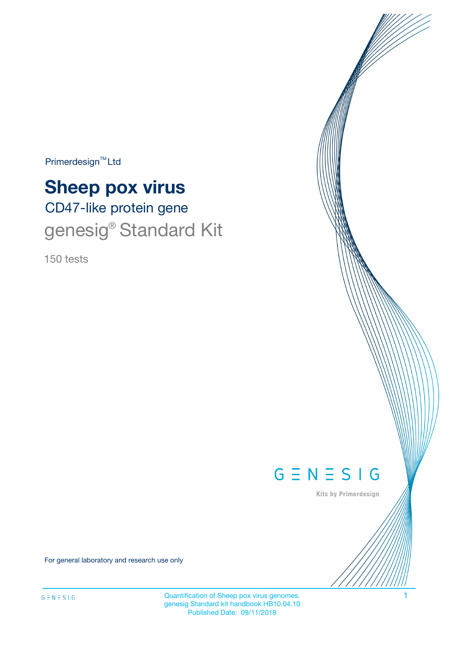Primerdesign<sup>™</sup>Ltd

# CD47-like protein gene **Sheep pox virus**

# genesig<sup>®</sup> Standard Kit

150 tests



Kits by Primerdesign

For general laboratory and research use only

Quantification of Sheep pox virus genomes. 1 genesig Standard kit handbook HB10.04.10 Published Date: 09/11/2018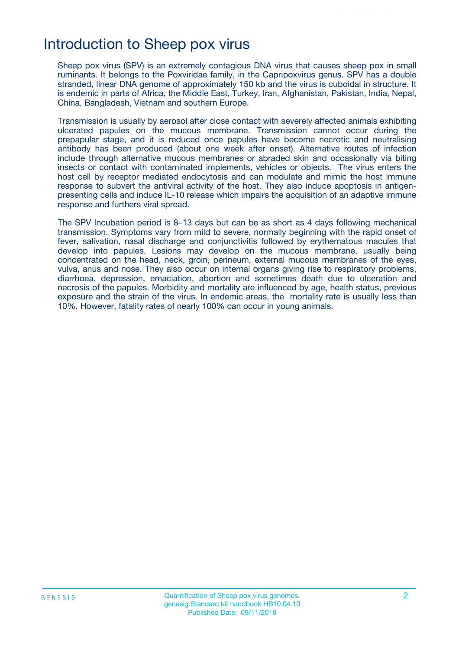### Introduction to Sheep pox virus

Sheep pox virus (SPV) is an extremely contagious DNA virus that causes sheep pox in small ruminants. It belongs to the Poxviridae family, in the Capripoxvirus genus. SPV has a double stranded, linear DNA genome of approximately 150 kb and the virus is cuboidal in structure. It is endemic in parts of Africa, the Middle East, Turkey, Iran, Afghanistan, Pakistan, India, Nepal, China, Bangladesh, Vietnam and southern Europe.

Transmission is usually by aerosol after close contact with severely affected animals exhibiting ulcerated papules on the mucous membrane. Transmission cannot occur during the prepapular stage, and it is reduced once papules have become necrotic and neutralising antibody has been produced (about one week after onset). Alternative routes of infection include through alternative mucous membranes or abraded skin and occasionally via biting insects or contact with contaminated implements, vehicles or objects. The virus enters the host cell by receptor mediated endocytosis and can modulate and mimic the host immune response to subvert the antiviral activity of the host. They also induce apoptosis in antigenpresenting cells and induce IL-10 release which impairs the acquisition of an adaptive immune response and furthers viral spread.

The SPV Incubation period is 8–13 days but can be as short as 4 days following mechanical transmission. Symptoms vary from mild to severe, normally beginning with the rapid onset of fever, salivation, nasal discharge and conjunctivitis followed by erythematous macules that develop into papules. Lesions may develop on the mucous membrane, usually being concentrated on the head, neck, groin, perineum, external mucous membranes of the eyes, vulva, anus and nose. They also occur on internal organs giving rise to respiratory problems, diarrhoea, depression, emaciation, abortion and sometimes death due to ulceration and necrosis of the papules. Morbidity and mortality are influenced by age, health status, previous exposure and the strain of the virus. In endemic areas, the mortality rate is usually less than 10%. However, fatality rates of nearly 100% can occur in young animals.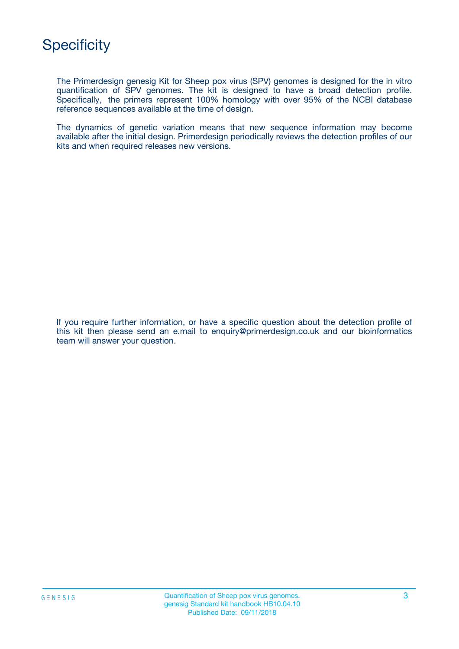

The Primerdesign genesig Kit for Sheep pox virus (SPV) genomes is designed for the in vitro quantification of SPV genomes. The kit is designed to have a broad detection profile. Specifically, the primers represent 100% homology with over 95% of the NCBI database reference sequences available at the time of design.

The dynamics of genetic variation means that new sequence information may become available after the initial design. Primerdesign periodically reviews the detection profiles of our kits and when required releases new versions.

If you require further information, or have a specific question about the detection profile of this kit then please send an e.mail to enquiry@primerdesign.co.uk and our bioinformatics team will answer your question.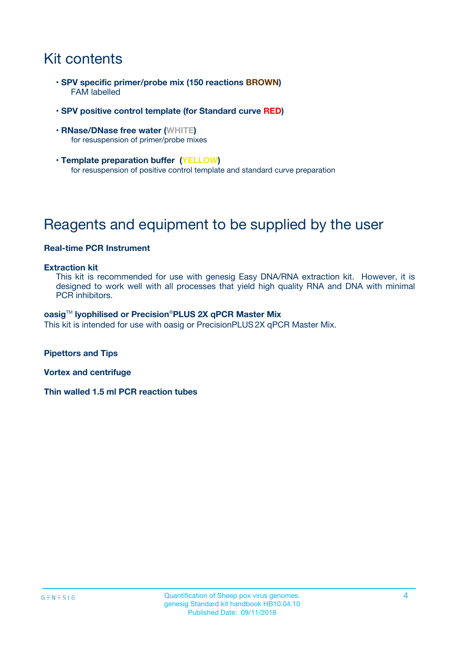# Kit contents

- **SPV specific primer/probe mix (150 reactions BROWN)** FAM labelled
- **SPV positive control template (for Standard curve RED)**
- **RNase/DNase free water (WHITE)** for resuspension of primer/probe mixes
- **Template preparation buffer (YELLOW)** for resuspension of positive control template and standard curve preparation

# Reagents and equipment to be supplied by the user

#### **Real-time PCR Instrument**

#### **Extraction kit**

This kit is recommended for use with genesig Easy DNA/RNA extraction kit. However, it is designed to work well with all processes that yield high quality RNA and DNA with minimal PCR inhibitors.

#### **oasig**TM **lyophilised or Precision**®**PLUS 2X qPCR Master Mix**

This kit is intended for use with oasig or PrecisionPLUS2X qPCR Master Mix.

**Pipettors and Tips**

**Vortex and centrifuge**

**Thin walled 1.5 ml PCR reaction tubes**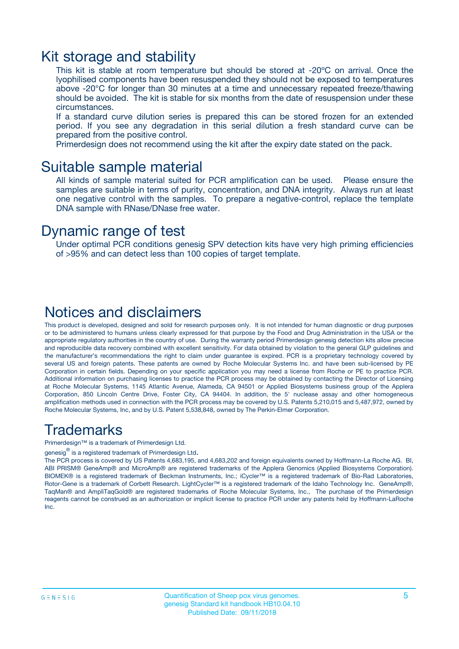### Kit storage and stability

This kit is stable at room temperature but should be stored at -20ºC on arrival. Once the lyophilised components have been resuspended they should not be exposed to temperatures above -20°C for longer than 30 minutes at a time and unnecessary repeated freeze/thawing should be avoided. The kit is stable for six months from the date of resuspension under these circumstances.

If a standard curve dilution series is prepared this can be stored frozen for an extended period. If you see any degradation in this serial dilution a fresh standard curve can be prepared from the positive control.

Primerdesign does not recommend using the kit after the expiry date stated on the pack.

### Suitable sample material

All kinds of sample material suited for PCR amplification can be used. Please ensure the samples are suitable in terms of purity, concentration, and DNA integrity. Always run at least one negative control with the samples. To prepare a negative-control, replace the template DNA sample with RNase/DNase free water.

### Dynamic range of test

Under optimal PCR conditions genesig SPV detection kits have very high priming efficiencies of >95% and can detect less than 100 copies of target template.

### Notices and disclaimers

This product is developed, designed and sold for research purposes only. It is not intended for human diagnostic or drug purposes or to be administered to humans unless clearly expressed for that purpose by the Food and Drug Administration in the USA or the appropriate regulatory authorities in the country of use. During the warranty period Primerdesign genesig detection kits allow precise and reproducible data recovery combined with excellent sensitivity. For data obtained by violation to the general GLP guidelines and the manufacturer's recommendations the right to claim under guarantee is expired. PCR is a proprietary technology covered by several US and foreign patents. These patents are owned by Roche Molecular Systems Inc. and have been sub-licensed by PE Corporation in certain fields. Depending on your specific application you may need a license from Roche or PE to practice PCR. Additional information on purchasing licenses to practice the PCR process may be obtained by contacting the Director of Licensing at Roche Molecular Systems, 1145 Atlantic Avenue, Alameda, CA 94501 or Applied Biosystems business group of the Applera Corporation, 850 Lincoln Centre Drive, Foster City, CA 94404. In addition, the 5' nuclease assay and other homogeneous amplification methods used in connection with the PCR process may be covered by U.S. Patents 5,210,015 and 5,487,972, owned by Roche Molecular Systems, Inc, and by U.S. Patent 5,538,848, owned by The Perkin-Elmer Corporation.

### Trademarks

Primerdesign™ is a trademark of Primerdesign Ltd.

genesig $^\circledR$  is a registered trademark of Primerdesign Ltd.

The PCR process is covered by US Patents 4,683,195, and 4,683,202 and foreign equivalents owned by Hoffmann-La Roche AG. BI, ABI PRISM® GeneAmp® and MicroAmp® are registered trademarks of the Applera Genomics (Applied Biosystems Corporation). BIOMEK® is a registered trademark of Beckman Instruments, Inc.; iCycler™ is a registered trademark of Bio-Rad Laboratories, Rotor-Gene is a trademark of Corbett Research. LightCycler™ is a registered trademark of the Idaho Technology Inc. GeneAmp®, TaqMan® and AmpliTaqGold® are registered trademarks of Roche Molecular Systems, Inc., The purchase of the Primerdesign reagents cannot be construed as an authorization or implicit license to practice PCR under any patents held by Hoffmann-LaRoche Inc.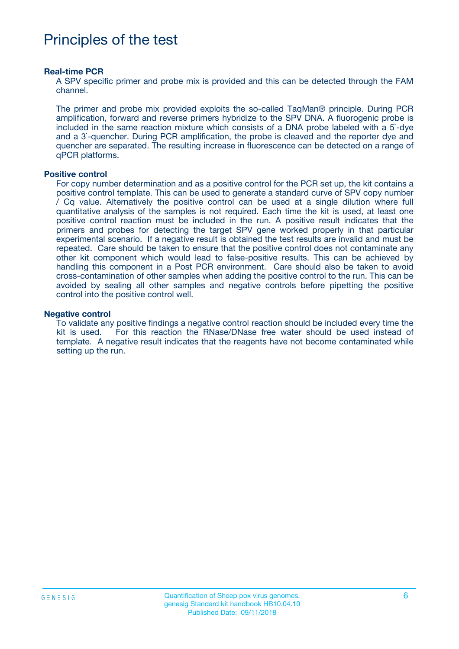## Principles of the test

#### **Real-time PCR**

A SPV specific primer and probe mix is provided and this can be detected through the FAM channel.

The primer and probe mix provided exploits the so-called TaqMan® principle. During PCR amplification, forward and reverse primers hybridize to the SPV DNA. A fluorogenic probe is included in the same reaction mixture which consists of a DNA probe labeled with a 5`-dye and a 3`-quencher. During PCR amplification, the probe is cleaved and the reporter dye and quencher are separated. The resulting increase in fluorescence can be detected on a range of qPCR platforms.

#### **Positive control**

For copy number determination and as a positive control for the PCR set up, the kit contains a positive control template. This can be used to generate a standard curve of SPV copy number / Cq value. Alternatively the positive control can be used at a single dilution where full quantitative analysis of the samples is not required. Each time the kit is used, at least one positive control reaction must be included in the run. A positive result indicates that the primers and probes for detecting the target SPV gene worked properly in that particular experimental scenario. If a negative result is obtained the test results are invalid and must be repeated. Care should be taken to ensure that the positive control does not contaminate any other kit component which would lead to false-positive results. This can be achieved by handling this component in a Post PCR environment. Care should also be taken to avoid cross-contamination of other samples when adding the positive control to the run. This can be avoided by sealing all other samples and negative controls before pipetting the positive control into the positive control well.

#### **Negative control**

To validate any positive findings a negative control reaction should be included every time the kit is used. For this reaction the RNase/DNase free water should be used instead of template. A negative result indicates that the reagents have not become contaminated while setting up the run.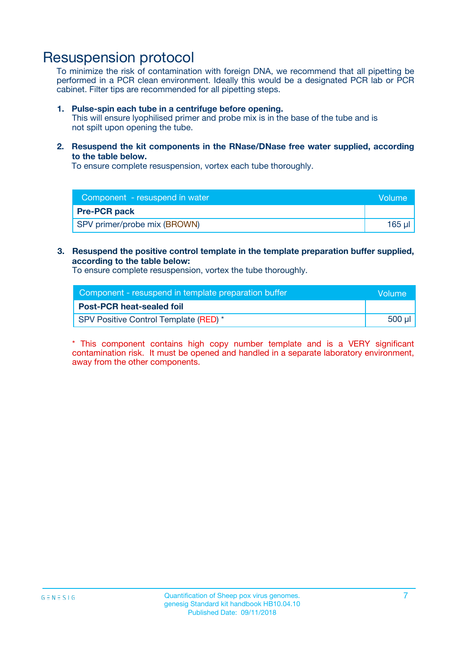### Resuspension protocol

To minimize the risk of contamination with foreign DNA, we recommend that all pipetting be performed in a PCR clean environment. Ideally this would be a designated PCR lab or PCR cabinet. Filter tips are recommended for all pipetting steps.

#### **1. Pulse-spin each tube in a centrifuge before opening.**

This will ensure lyophilised primer and probe mix is in the base of the tube and is not spilt upon opening the tube.

**2. Resuspend the kit components in the RNase/DNase free water supplied, according to the table below.**

To ensure complete resuspension, vortex each tube thoroughly.

| Component - resuspend in water<br><b>Volume</b> |        |
|-------------------------------------------------|--------|
| <b>Pre-PCR pack</b>                             |        |
| SPV primer/probe mix (BROWN)                    | 165 ul |

#### **3. Resuspend the positive control template in the template preparation buffer supplied, according to the table below:**

To ensure complete resuspension, vortex the tube thoroughly.

| Component - resuspend in template preparation buffer |        |  |
|------------------------------------------------------|--------|--|
| <b>Post-PCR heat-sealed foil</b>                     |        |  |
| SPV Positive Control Template (RED) *                | 500 µl |  |

\* This component contains high copy number template and is a VERY significant contamination risk. It must be opened and handled in a separate laboratory environment, away from the other components.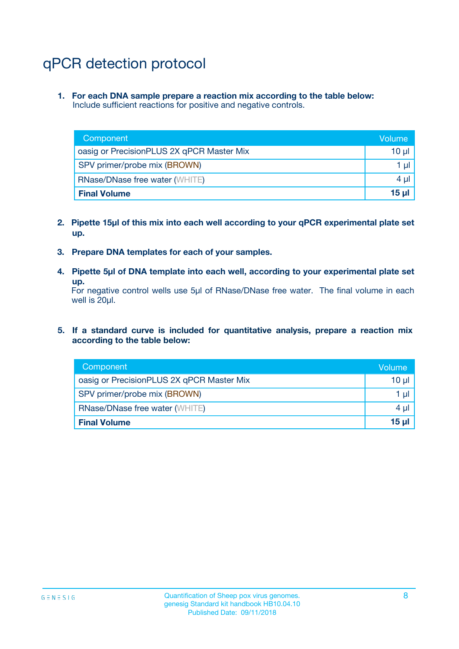# qPCR detection protocol

**1. For each DNA sample prepare a reaction mix according to the table below:** Include sufficient reactions for positive and negative controls.

| Component                                 | Volume          |
|-------------------------------------------|-----------------|
| oasig or PrecisionPLUS 2X qPCR Master Mix | 10 $\mu$        |
| SPV primer/probe mix (BROWN)              | 1 $\mu$         |
| <b>RNase/DNase free water (WHITE)</b>     | $4 \mu$         |
| <b>Final Volume</b>                       | 15 <sub>µ</sub> |

- **2. Pipette 15µl of this mix into each well according to your qPCR experimental plate set up.**
- **3. Prepare DNA templates for each of your samples.**
- **4. Pipette 5µl of DNA template into each well, according to your experimental plate set up.**

For negative control wells use 5µl of RNase/DNase free water. The final volume in each well is 20µl.

**5. If a standard curve is included for quantitative analysis, prepare a reaction mix according to the table below:**

| Component                                 | Volume          |
|-------------------------------------------|-----------------|
| oasig or PrecisionPLUS 2X qPCR Master Mix | 10 µl           |
| SPV primer/probe mix (BROWN)              | 1 µI            |
| <b>RNase/DNase free water (WHITE)</b>     | $4 \mu$         |
| <b>Final Volume</b>                       | 15 <sub>µ</sub> |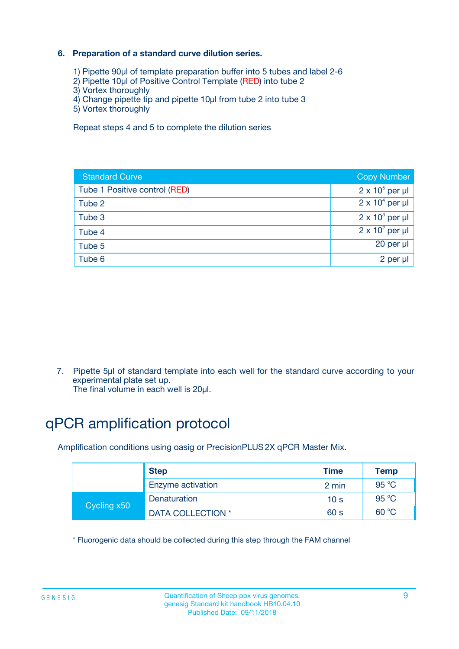### **6. Preparation of a standard curve dilution series.**

- 1) Pipette 90µl of template preparation buffer into 5 tubes and label 2-6
- 2) Pipette 10µl of Positive Control Template (RED) into tube 2
- 3) Vortex thoroughly
- 4) Change pipette tip and pipette 10µl from tube 2 into tube 3
- 5) Vortex thoroughly

Repeat steps 4 and 5 to complete the dilution series

| <b>Standard Curve</b>         | <b>Copy Number</b>     |
|-------------------------------|------------------------|
| Tube 1 Positive control (RED) | $2 \times 10^5$ per µl |
| Tube 2                        | $2 \times 10^4$ per µl |
| Tube 3                        | $2 \times 10^3$ per µl |
| Tube 4                        | $2 \times 10^2$ per µl |
| Tube 5                        | 20 per µl              |
| Tube 6                        | 2 per ul               |

7. Pipette 5µl of standard template into each well for the standard curve according to your experimental plate set up.

The final volume in each well is 20µl.

# qPCR amplification protocol

Amplification conditions using oasig or PrecisionPLUS2X qPCR Master Mix.

|             | <b>Step</b>       | <b>Time</b>     | Temp    |
|-------------|-------------------|-----------------|---------|
|             | Enzyme activation | 2 min           | 95 °C   |
| Cycling x50 | Denaturation      | 10 <sub>s</sub> | 95 $°C$ |
|             | DATA COLLECTION * | 60 s            | 60 °C   |

\* Fluorogenic data should be collected during this step through the FAM channel